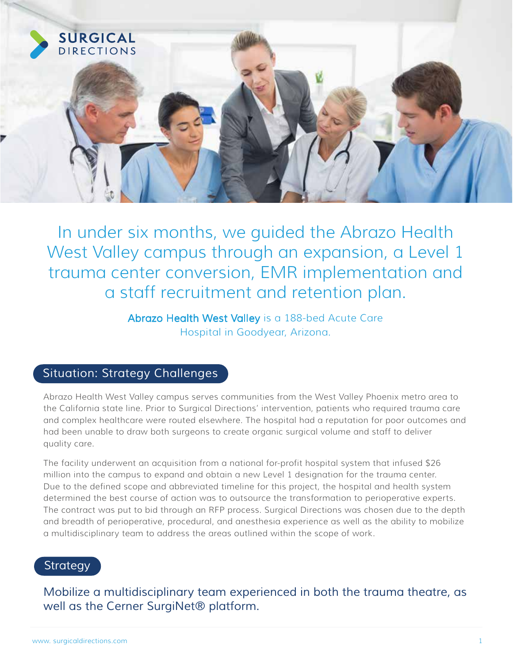

In under six months, we guided the Abrazo Health West Valley campus through an expansion, a Level 1 trauma center conversion, EMR implementation and a staff recruitment and retention plan.

> Abrazo Health West Valley is a 188-bed Acute Care Hospital in Goodyear, Arizona.

## *Situation: Strategy Challenges*

Abrazo Health West Valley campus serves communities from the West Valley Phoenix metro area to the California state line. Prior to Surgical Directions' intervention, patients who required trauma care and complex healthcare were routed elsewhere. The hospital had a reputation for poor outcomes and had been unable to draw both surgeons to create organic surgical volume and staff to deliver quality care.

The facility underwent an acquisition from a national for-profit hospital system that infused \$26 million into the campus to expand and obtain a new Level 1 designation for the trauma center. Due to the defined scope and abbreviated timeline for this project, the hospital and health system determined the best course of action was to outsource the transformation to perioperative experts. The contract was put to bid through an RFP process. Surgical Directions was chosen due to the depth and breadth of perioperative, procedural, and anesthesia experience as well as the ability to mobilize a multidisciplinary team to address the areas outlined within the scope of work.

## *Strategy*

*Mobilize a multidisciplinary team experienced in both the trauma theatre, as well as the Cerner SurgiNet® platform.*